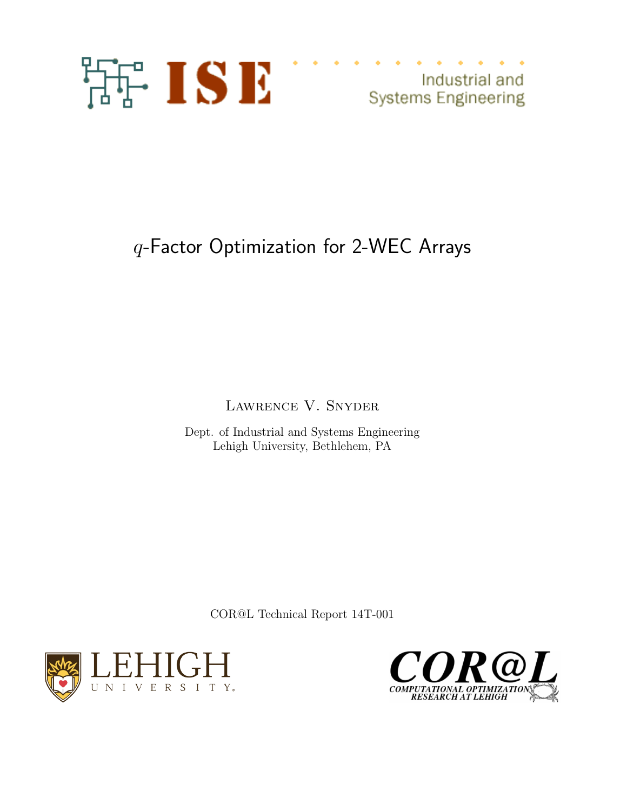

## q-Factor Optimization for 2-WEC Arrays

Lawrence V. Snyder

Dept. of Industrial and Systems Engineering Lehigh University, Bethlehem, PA

COR@L Technical Report 14T-001



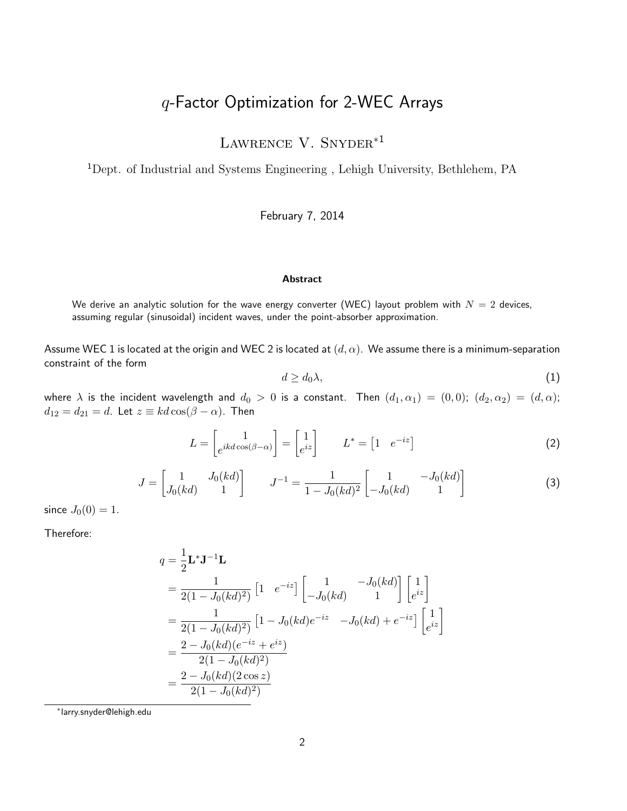## q-Factor Optimization for 2-WEC Arrays

LAWRENCE V. SNYDER<sup>\*1</sup>

<sup>1</sup>Dept. of Industrial and Systems Engineering , Lehigh University, Bethlehem, PA

February 7, 2014

## **Abstract**

We derive an analytic solution for the wave energy converter (WEC) layout problem with  $N = 2$  devices, assuming regular (sinusoidal) incident waves, under the point-absorber approximation.

Assume WEC 1 is located at the origin and WEC 2 is located at  $(d, \alpha)$ . We assume there is a minimum-separation constraint of the form

$$
d \ge d_0 \lambda,\tag{1}
$$

where  $\lambda$  is the incident wavelength and  $d_0 > 0$  is a constant. Then  $(d_1, \alpha_1) = (0, 0)$ ;  $(d_2, \alpha_2) = (d, \alpha)$ ;  $d_{12} = d_{21} = d$ . Let  $z \equiv kd \cos(\beta - \alpha)$ . Then

$$
L = \begin{bmatrix} 1 \\ e^{ikd\cos(\beta - \alpha)} \end{bmatrix} = \begin{bmatrix} 1 \\ e^{iz} \end{bmatrix} \qquad L^* = \begin{bmatrix} 1 & e^{-iz} \end{bmatrix}
$$
 (2)

$$
J = \begin{bmatrix} 1 & J_0(kd) \\ J_0(kd) & 1 \end{bmatrix} \qquad J^{-1} = \frac{1}{1 - J_0(kd)^2} \begin{bmatrix} 1 & -J_0(kd) \\ -J_0(kd) & 1 \end{bmatrix}
$$
 (3)

since  $J_0(0) = 1$ .

Therefore:

$$
q = \frac{1}{2} \mathbf{L}^* \mathbf{J}^{-1} \mathbf{L}
$$
  
=  $\frac{1}{2(1 - J_0(kd)^2)} [1 e^{-iz}] \begin{bmatrix} 1 & -J_0(kd) \\ -J_0(kd) & 1 \end{bmatrix} \begin{bmatrix} 1 \\ e^{iz} \end{bmatrix}$   
=  $\frac{1}{2(1 - J_0(kd)^2)} [1 - J_0(kd)e^{-iz} - J_0(kd) + e^{-iz}] \begin{bmatrix} 1 \\ e^{iz} \end{bmatrix}$   
=  $\frac{2 - J_0(kd)(e^{-iz} + e^{iz})}{2(1 - J_0(kd)^2)}$   
=  $\frac{2 - J_0(kd)(2 \cos z)}{2(1 - J_0(kd)^2)}$ 

∗ larry.snyder@lehigh.edu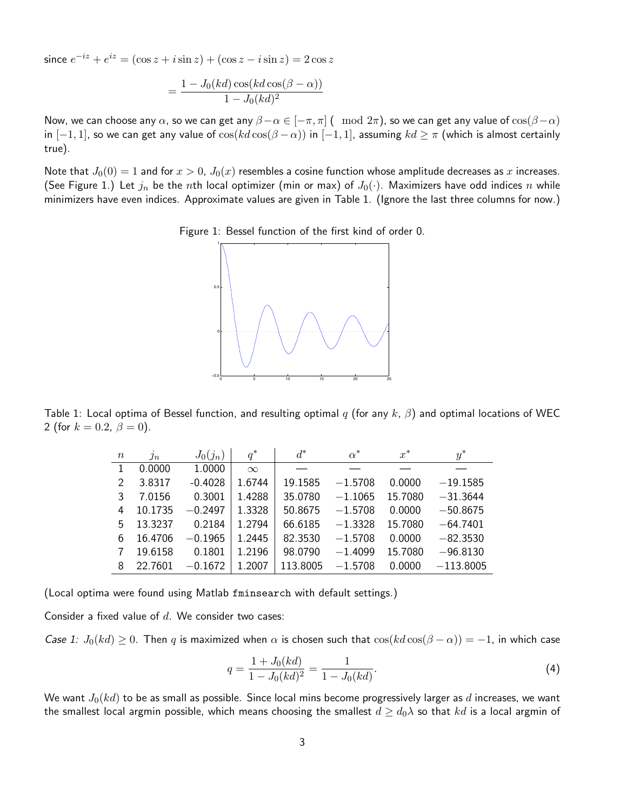since  $e^{-iz} + e^{iz} = (\cos z + i \sin z) + (\cos z - i \sin z) = 2 \cos z$ 

$$
=\frac{1-J_0(kd)\cos(kd\cos(\beta-\alpha))}{1-J_0(kd)^2}
$$

Now, we can choose any  $\alpha$ , so we can get any  $\beta-\alpha \in [-\pi, \pi]$  (  $\mod 2\pi$ ), so we can get any value of  $\cos(\beta-\alpha)$ in  $[-1, 1]$ , so we can get any value of  $\cos(kd\cos(\beta - \alpha))$  in  $[-1, 1]$ , assuming  $kd \geq \pi$  (which is almost certainly true).

Note that  $J_0(0) = 1$  and for  $x > 0$ ,  $J_0(x)$  resembles a cosine function whose amplitude decreases as x increases. (See Figure 1.) Let  $j_n$  be the nth local optimizer (min or max) of  $J_0(\cdot)$ . Maximizers have odd indices n while minimizers have even indices. Approximate values are given in Table 1. (Ignore the last three columns for now.)





Table 1: Local optima of Bessel function, and resulting optimal q (for any k,  $\beta$ ) and optimal locations of WEC 2 (for  $k = 0.2, \beta = 0$ ).

| $\boldsymbol{n}$ | $j_n$   | $J_0(j_n)$ | $q^*$    | $d^*$    | $\alpha^*$ | $x^*$   | $y^*$       |
|------------------|---------|------------|----------|----------|------------|---------|-------------|
|                  | 0.0000  | 1.0000     | $\infty$ |          |            |         |             |
| $\mathfrak{D}$   | 3.8317  | $-0.4028$  | 1.6744   | 19.1585  | $-1.5708$  | 0.0000  | $-19.1585$  |
| 3                | 7.0156  | 0.3001     | 1.4288   | 35.0780  | $-1.1065$  | 15.7080 | $-31.3644$  |
| 4                | 10.1735 | $-0.2497$  | 1.3328   | 50.8675  | $-1.5708$  | 0.0000  | $-50.8675$  |
| 5                | 13.3237 | 0.2184     | 1.2794   | 66.6185  | $-1.3328$  | 15.7080 | $-64.7401$  |
| 6                | 16.4706 | $-0.1965$  | 1.2445   | 82.3530  | $-1.5708$  | 0.0000  | $-82.3530$  |
|                  | 19.6158 | 0.1801     | 1.2196   | 98.0790  | $-1.4099$  | 15.7080 | $-96.8130$  |
| 8                | 22.7601 | $-0.1672$  | 1.2007   | 113.8005 | $-1.5708$  | 0.0000  | $-113.8005$ |

(Local optima were found using Matlab fminsearch with default settings.)

Consider a fixed value of  $d$ . We consider two cases:

Case 1:  $J_0(kd) \ge 0$ . Then q is maximized when  $\alpha$  is chosen such that  $\cos(kd\cos(\beta - \alpha)) = -1$ , in which case

$$
q = \frac{1 + J_0(kd)}{1 - J_0(kd)^2} = \frac{1}{1 - J_0(kd)}.
$$
\n(4)

We want  $J_0(kd)$  to be as small as possible. Since local mins become progressively larger as d increases, we want the smallest local argmin possible, which means choosing the smallest  $d \geq d_0 \lambda$  so that kd is a local argmin of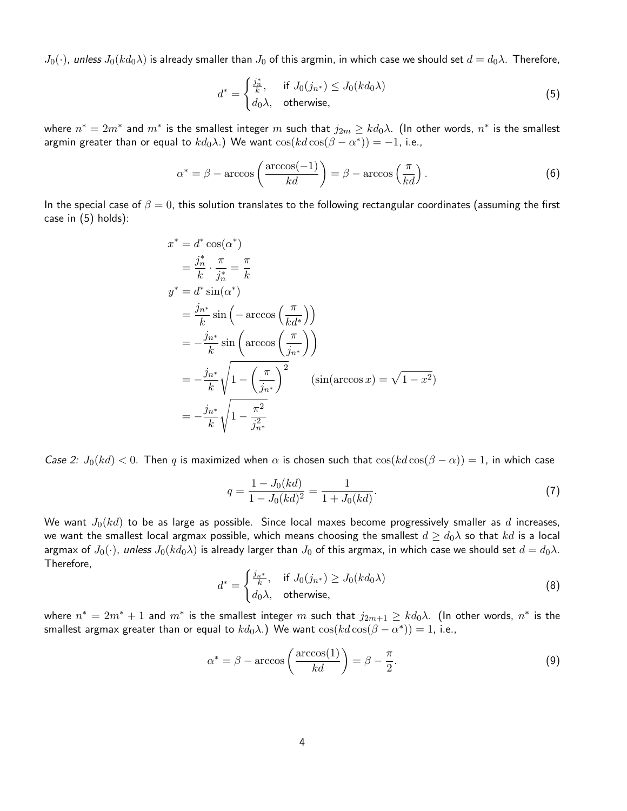$J_0(\cdot)$ , unless  $J_0(kd_0\lambda)$  is already smaller than  $J_0$  of this argmin, in which case we should set  $d=d_0\lambda$ . Therefore,

$$
d^* = \begin{cases} \frac{j_n^*}{k}, & \text{if } J_0(j_{n^*}) \le J_0(kd_0\lambda) \\ d_0\lambda, & \text{otherwise,} \end{cases} \tag{5}
$$

where  $n^*=2m^*$  and  $m^*$  is the smallest integer  $m$  such that  $j_{2m}\geq kd_0\lambda$ . (In other words,  $n^*$  is the smallest argmin greater than or equal to  $k d_0 \lambda$ .) We want  $\cos(kd \cos(\beta - \alpha^*)) = -1$ , i.e.,

$$
\alpha^* = \beta - \arccos\left(\frac{\arccos(-1)}{kd}\right) = \beta - \arccos\left(\frac{\pi}{kd}\right). \tag{6}
$$

In the special case of  $\beta = 0$ , this solution translates to the following rectangular coordinates (assuming the first case in (5) holds):

$$
x^* = d^* \cos(\alpha^*)
$$
  
\n
$$
= \frac{j_n^*}{k} \cdot \frac{\pi}{j_n^*} = \frac{\pi}{k}
$$
  
\n
$$
y^* = d^* \sin(\alpha^*)
$$
  
\n
$$
= \frac{j_{n^*}}{k} \sin(-\arccos(\frac{\pi}{kd^*}))
$$
  
\n
$$
= -\frac{j_{n^*}}{k} \sin(\arccos(\frac{\pi}{j_{n^*}}))
$$
  
\n
$$
= -\frac{j_{n^*}}{k} \sqrt{1 - (\frac{\pi}{j_{n^*}})^2} \quad (\sin(\arccos x) = \sqrt{1 - x^2})
$$
  
\n
$$
= -\frac{j_{n^*}}{k} \sqrt{1 - \frac{\pi^2}{j_{n^*}^2}}
$$

Case 2:  $J_0(kd) < 0$ . Then q is maximized when  $\alpha$  is chosen such that  $\cos(kd\cos(\beta - \alpha)) = 1$ , in which case

$$
q = \frac{1 - J_0(kd)}{1 - J_0(kd)^2} = \frac{1}{1 + J_0(kd)}.
$$
\n(7)

We want  $J_0(kd)$  to be as large as possible. Since local maxes become progressively smaller as d increases, we want the smallest local argmax possible, which means choosing the smallest  $d \geq d_0 \lambda$  so that kd is a local argmax of  $J_0(\cdot)$ , unless  $J_0(kd_0\lambda)$  is already larger than  $J_0$  of this argmax, in which case we should set  $d=d_0\lambda$ . Therefore,

$$
d^* = \begin{cases} \frac{j_{n^*}}{k}, & \text{if } J_0(j_{n^*}) \ge J_0(kd_0\lambda) \\ d_0\lambda, & \text{otherwise,} \end{cases}
$$
 (8)

where  $n^*=2m^*+1$  and  $m^*$  is the smallest integer  $m$  such that  $j_{2m+1}\geq kd_0\lambda$ . (In other words,  $n^*$  is the smallest argmax greater than or equal to  $k d_0 \lambda$ .) We want  $\cos(kd\cos(\beta-\alpha^*))=1$ , i.e.,

$$
\alpha^* = \beta - \arccos\left(\frac{\arccos(1)}{kd}\right) = \beta - \frac{\pi}{2}.\tag{9}
$$